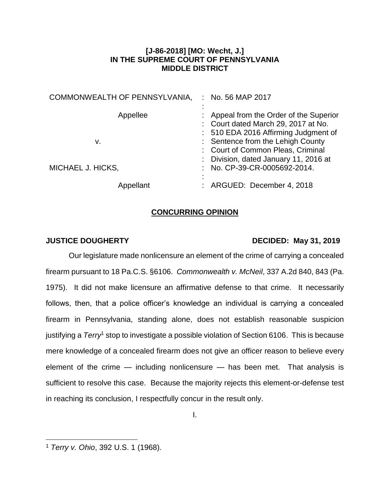## **[J-86-2018] [MO: Wecht, J.] IN THE SUPREME COURT OF PENNSYLVANIA MIDDLE DISTRICT**

| COMMONWEALTH OF PENNSYLVANIA, | No. 56 MAP 2017<br>÷                                                                                                                                        |
|-------------------------------|-------------------------------------------------------------------------------------------------------------------------------------------------------------|
| Appellee<br>v.                | : Appeal from the Order of the Superior<br>: Court dated March 29, 2017 at No.<br>: 510 EDA 2016 Affirming Judgment of<br>: Sentence from the Lehigh County |
| MICHAEL J. HICKS,             | : Court of Common Pleas, Criminal<br>: Division, dated January 11, 2016 at<br>: No. CP-39-CR-0005692-2014.                                                  |
| Appellant                     | : ARGUED: December 4, 2018                                                                                                                                  |

# **CONCURRING OPINION**

## **JUSTICE DOUGHERTY DECIDED: May 31, 2019**

Our legislature made nonlicensure an element of the crime of carrying a concealed firearm pursuant to 18 Pa.C.S. §6106. *Commonwealth v. McNeil*, 337 A.2d 840, 843 (Pa. 1975). It did not make licensure an affirmative defense to that crime. It necessarily follows, then, that a police officer's knowledge an individual is carrying a concealed firearm in Pennsylvania, standing alone, does not establish reasonable suspicion justifying a *Terry*<sup>1</sup> stop to investigate a possible violation of Section 6106. This is because mere knowledge of a concealed firearm does not give an officer reason to believe every element of the crime — including nonlicensure — has been met. That analysis is sufficient to resolve this case. Because the majority rejects this element-or-defense test in reaching its conclusion, I respectfully concur in the result only.

 $\overline{a}$ <sup>1</sup> *Terry v. Ohio*, 392 U.S. 1 (1968).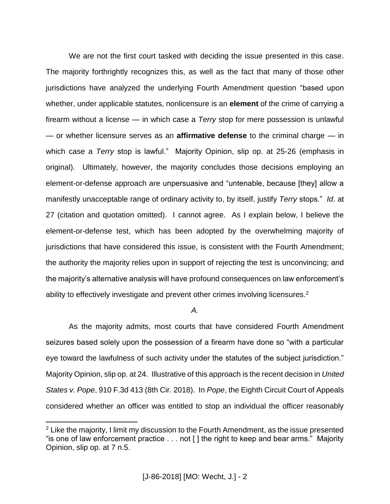We are not the first court tasked with deciding the issue presented in this case. The majority forthrightly recognizes this, as well as the fact that many of those other jurisdictions have analyzed the underlying Fourth Amendment question "based upon whether, under applicable statutes, nonlicensure is an **element** of the crime of carrying a firearm without a license — in which case a *Terry* stop for mere possession is unlawful — or whether licensure serves as an **affirmative defense** to the criminal charge — in which case a *Terry* stop is lawful." Majority Opinion, slip op. at 25-26 (emphasis in original). Ultimately, however, the majority concludes those decisions employing an element-or-defense approach are unpersuasive and "untenable, because [they] allow a manifestly unacceptable range of ordinary activity to, by itself, justify *Terry* stops." *Id*. at 27 (citation and quotation omitted). I cannot agree. As I explain below, I believe the element-or-defense test, which has been adopted by the overwhelming majority of jurisdictions that have considered this issue, is consistent with the Fourth Amendment; the authority the majority relies upon in support of rejecting the test is unconvincing; and the majority's alternative analysis will have profound consequences on law enforcement's ability to effectively investigate and prevent other crimes involving licensures.<sup>2</sup>

*A.*

As the majority admits, most courts that have considered Fourth Amendment seizures based solely upon the possession of a firearm have done so "with a particular eye toward the lawfulness of such activity under the statutes of the subject jurisdiction." Majority Opinion, slip op. at 24. Illustrative of this approach is the recent decision in *United States v. Pope*, 910 F.3d 413 (8th Cir. 2018). In *Pope*, the Eighth Circuit Court of Appeals considered whether an officer was entitled to stop an individual the officer reasonably

 $\overline{a}$ 

 $2$  Like the majority, I limit my discussion to the Fourth Amendment, as the issue presented "is one of law enforcement practice . . . not [ ] the right to keep and bear arms." Majority Opinion, slip op. at 7 n.5.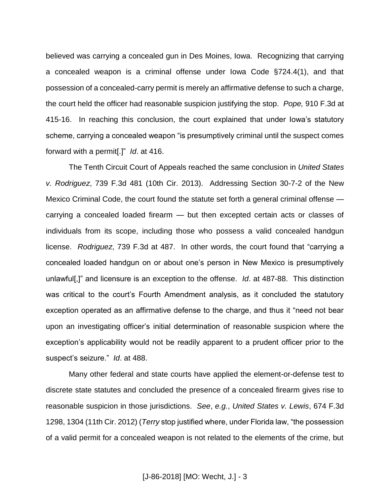believed was carrying a concealed gun in Des Moines, Iowa. Recognizing that carrying a concealed weapon is a criminal offense under Iowa Code §724.4(1), and that possession of a concealed-carry permit is merely an affirmative defense to such a charge, the court held the officer had reasonable suspicion justifying the stop. *Pope,* 910 F.3d at 415-16. In reaching this conclusion, the court explained that under Iowa's statutory scheme, carrying a concealed weapon "is presumptively criminal until the suspect comes forward with a permit[.]" *Id*. at 416.

The Tenth Circuit Court of Appeals reached the same conclusion in *United States v. Rodriguez*, 739 F.3d 481 (10th Cir. 2013). Addressing Section 30-7-2 of the New Mexico Criminal Code, the court found the statute set forth a general criminal offense carrying a concealed loaded firearm — but then excepted certain acts or classes of individuals from its scope, including those who possess a valid concealed handgun license. *Rodriguez*, 739 F.3d at 487. In other words, the court found that "carrying a concealed loaded handgun on or about one's person in New Mexico is presumptively unlawful[,]" and licensure is an exception to the offense. *Id*. at 487-88. This distinction was critical to the court's Fourth Amendment analysis, as it concluded the statutory exception operated as an affirmative defense to the charge, and thus it "need not bear upon an investigating officer's initial determination of reasonable suspicion where the exception's applicability would not be readily apparent to a prudent officer prior to the suspect's seizure." *Id*. at 488.

Many other federal and state courts have applied the element-or-defense test to discrete state statutes and concluded the presence of a concealed firearm gives rise to reasonable suspicion in those jurisdictions. *See*, *e.g.*, *United States v. Lewis*, 674 F.3d 1298, 1304 (11th Cir. 2012) (*Terry* stop justified where, under Florida law, "the possession of a valid permit for a concealed weapon is not related to the elements of the crime, but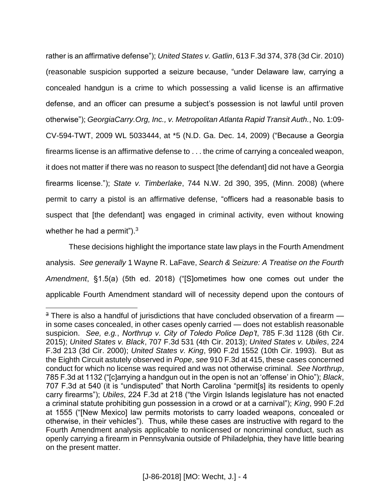rather is an affirmative defense"); *United States v. Gatlin*, 613 F.3d 374, 378 (3d Cir. 2010) (reasonable suspicion supported a seizure because, "under Delaware law, carrying a concealed handgun is a crime to which possessing a valid license is an affirmative defense, and an officer can presume a subject's possession is not lawful until proven otherwise"); *GeorgiaCarry.Org, Inc., v. Metropolitan Atlanta Rapid Transit Auth.*, No. 1:09- CV-594-TWT, 2009 WL 5033444, at \*5 (N.D. Ga. Dec. 14, 2009) ("Because a Georgia firearms license is an affirmative defense to . . . the crime of carrying a concealed weapon, it does not matter if there was no reason to suspect [the defendant] did not have a Georgia firearms license."); *State v. Timberlake*, 744 N.W. 2d 390, 395, (Minn. 2008) (where permit to carry a pistol is an affirmative defense, "officers had a reasonable basis to suspect that [the defendant] was engaged in criminal activity, even without knowing whether he had a permit"). $3$ 

These decisions highlight the importance state law plays in the Fourth Amendment analysis. *See generally* 1 Wayne R. LaFave, *Search & Seizure: A Treatise on the Fourth Amendment*, §1.5(a) (5th ed. 2018) ("[S]ometimes how one comes out under the applicable Fourth Amendment standard will of necessity depend upon the contours of

 $\overline{a}$ 

 $3$  There is also a handful of jurisdictions that have concluded observation of a firearm  $$ in some cases concealed, in other cases openly carried — does not establish reasonable suspicion. *See, e.g.*, *Northrup v. City of Toledo Police Dep't*, 785 F.3d 1128 (6th Cir. 2015); *United States v. Black*, 707 F.3d 531 (4th Cir. 2013); *United States v. Ubiles*, 224 F.3d 213 (3d Cir. 2000); *United States v. King*, 990 F.2d 1552 (10th Cir. 1993). But as the Eighth Circuit astutely observed in *Pope*, *see* 910 F.3d at 415, these cases concerned conduct for which no license was required and was not otherwise criminal. *See Northrup*, 785 F.3d at 1132 ("[c]arrying a handgun out in the open is not an 'offense' in Ohio"); *Black*, 707 F.3d at 540 (it is "undisputed" that North Carolina "permit[s] its residents to openly carry firearms"); *Ubiles*, 224 F.3d at 218 ("the Virgin Islands legislature has not enacted a criminal statute prohibiting gun possession in a crowd or at a carnival"); *King*, 990 F.2d at 1555 ("[New Mexico] law permits motorists to carry loaded weapons, concealed or otherwise, in their vehicles"). Thus, while these cases are instructive with regard to the Fourth Amendment analysis applicable to nonlicensed or noncriminal conduct, such as openly carrying a firearm in Pennsylvania outside of Philadelphia, they have little bearing on the present matter.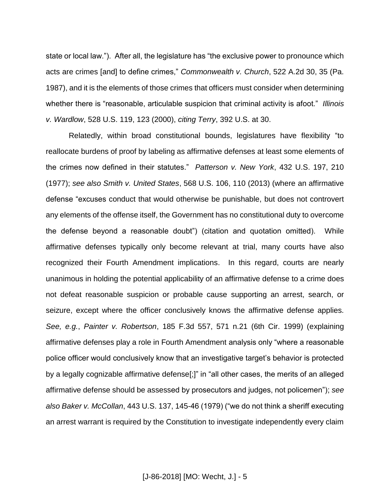state or local law."). After all, the legislature has "the exclusive power to pronounce which acts are crimes [and] to define crimes," *Commonwealth v. Church*, 522 A.2d 30, 35 (Pa. 1987), and it is the elements of those crimes that officers must consider when determining whether there is "reasonable, articulable suspicion that criminal activity is afoot." *Illinois v. Wardlow*, 528 U.S. 119, 123 (2000), *citing Terry*, 392 U.S. at 30.

Relatedly, within broad constitutional bounds, legislatures have flexibility "to reallocate burdens of proof by labeling as affirmative defenses at least some elements of the crimes now defined in their statutes." *Patterson v. New York*, 432 U.S. 197, 210 (1977); *see also Smith v. United States*, 568 U.S. 106, 110 (2013) (where an affirmative defense "excuses conduct that would otherwise be punishable, but does not controvert any elements of the offense itself, the Government has no constitutional duty to overcome the defense beyond a reasonable doubt") (citation and quotation omitted). While affirmative defenses typically only become relevant at trial, many courts have also recognized their Fourth Amendment implications. In this regard, courts are nearly unanimous in holding the potential applicability of an affirmative defense to a crime does not defeat reasonable suspicion or probable cause supporting an arrest, search, or seizure, except where the officer conclusively knows the affirmative defense applies. *See, e.g.*, *Painter v. Robertson*, 185 F.3d 557, 571 n.21 (6th Cir. 1999) (explaining affirmative defenses play a role in Fourth Amendment analysis only "where a reasonable police officer would conclusively know that an investigative target's behavior is protected by a legally cognizable affirmative defense[;]" in "all other cases, the merits of an alleged affirmative defense should be assessed by prosecutors and judges, not policemen"); *see also Baker v. McCollan*, 443 U.S. 137, 145-46 (1979) ("we do not think a sheriff executing an arrest warrant is required by the Constitution to investigate independently every claim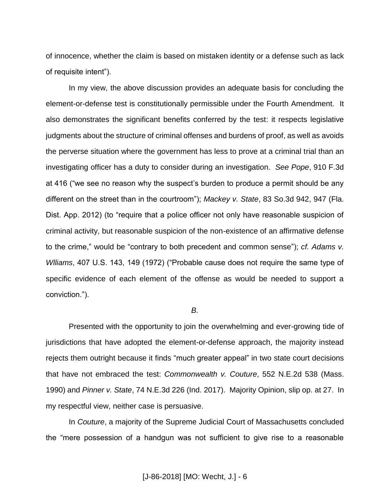of innocence, whether the claim is based on mistaken identity or a defense such as lack of requisite intent").

In my view, the above discussion provides an adequate basis for concluding the element-or-defense test is constitutionally permissible under the Fourth Amendment. It also demonstrates the significant benefits conferred by the test: it respects legislative judgments about the structure of criminal offenses and burdens of proof, as well as avoids the perverse situation where the government has less to prove at a criminal trial than an investigating officer has a duty to consider during an investigation. *See Pope*, 910 F.3d at 416 ("we see no reason why the suspect's burden to produce a permit should be any different on the street than in the courtroom"); *Mackey v. State*, 83 So.3d 942, 947 (Fla. Dist. App. 2012) (to "require that a police officer not only have reasonable suspicion of criminal activity, but reasonable suspicion of the non-existence of an affirmative defense to the crime," would be "contrary to both precedent and common sense"); *cf. Adams v. Wlliams*, 407 U.S. 143, 149 (1972) ("Probable cause does not require the same type of specific evidence of each element of the offense as would be needed to support a conviction.").

#### *B.*

Presented with the opportunity to join the overwhelming and ever-growing tide of jurisdictions that have adopted the element-or-defense approach, the majority instead rejects them outright because it finds "much greater appeal" in two state court decisions that have not embraced the test: *Commonwealth v. Couture*, 552 N.E.2d 538 (Mass. 1990) and *Pinner v. State*, 74 N.E.3d 226 (Ind. 2017). Majority Opinion, slip op. at 27. In my respectful view, neither case is persuasive.

In *Couture*, a majority of the Supreme Judicial Court of Massachusetts concluded the "mere possession of a handgun was not sufficient to give rise to a reasonable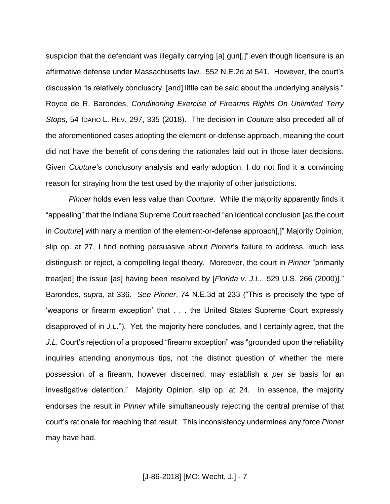suspicion that the defendant was illegally carrying [a] gun[,]" even though licensure is an affirmative defense under Massachusetts law. 552 N.E.2d at 541. However, the court's discussion "is relatively conclusory, [and] little can be said about the underlying analysis." Royce de R. Barondes, *Conditioning Exercise of Firearms Rights On Unlimited Terry Stops*, 54 IDAHO L. REV. 297, 335 (2018). The decision in *Couture* also preceded all of the aforementioned cases adopting the element-or-defense approach, meaning the court did not have the benefit of considering the rationales laid out in those later decisions. Given *Couture*'s conclusory analysis and early adoption, I do not find it a convincing reason for straying from the test used by the majority of other jurisdictions.

*Pinner* holds even less value than *Couture*. While the majority apparently finds it "appealing" that the Indiana Supreme Court reached "an identical conclusion [as the court in *Couture*] with nary a mention of the element-or-defense approach[,]" Majority Opinion, slip op. at 27, I find nothing persuasive about *Pinner*'s failure to address, much less distinguish or reject, a compelling legal theory. Moreover, the court in *Pinner* "primarily treat[ed] the issue [as] having been resolved by [*Florida v. J.L.*, 529 U.S. 266 (2000)]." Barondes, *supra*, at 336. *See Pinner*, 74 N.E.3d at 233 ("This is precisely the type of 'weapons or firearm exception' that . . . the United States Supreme Court expressly disapproved of in *J.L.*"). Yet, the majority here concludes, and I certainly agree, that the *J.L.* Court's rejection of a proposed "firearm exception" was "grounded upon the reliability inquiries attending anonymous tips, not the distinct question of whether the mere possession of a firearm, however discerned, may establish a *per se* basis for an investigative detention." Majority Opinion, slip op. at 24. In essence, the majority endorses the result in *Pinner* while simultaneously rejecting the central premise of that court's rationale for reaching that result. This inconsistency undermines any force *Pinner*  may have had.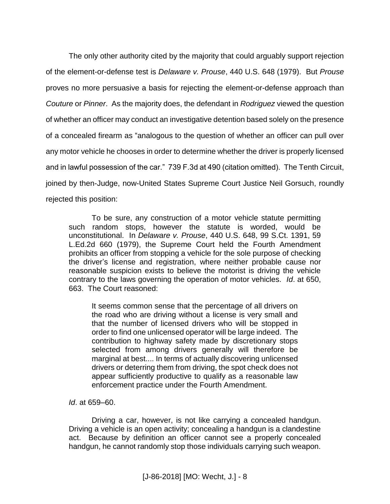The only other authority cited by the majority that could arguably support rejection of the element-or-defense test is *Delaware v. Prouse*, 440 U.S. 648 (1979). But *Prouse*  proves no more persuasive a basis for rejecting the element-or-defense approach than *Couture* or *Pinner*. As the majority does, the defendant in *Rodriguez* viewed the question of whether an officer may conduct an investigative detention based solely on the presence of a concealed firearm as "analogous to the question of whether an officer can pull over any motor vehicle he chooses in order to determine whether the driver is properly licensed and in lawful possession of the car." 739 F.3d at 490 (citation omitted). The Tenth Circuit, joined by then-Judge, now-United States Supreme Court Justice Neil Gorsuch, roundly rejected this position:

To be sure, any construction of a motor vehicle statute permitting such random stops, however the statute is worded, would be unconstitutional. In *Delaware v. Prouse*, 440 U.S. 648, 99 S.Ct. 1391, 59 L.Ed.2d 660 (1979), the Supreme Court held the Fourth Amendment prohibits an officer from stopping a vehicle for the sole purpose of checking the driver's license and registration, where neither probable cause nor reasonable suspicion exists to believe the motorist is driving the vehicle contrary to the laws governing the operation of motor vehicles. *Id*. at 650, 663. The Court reasoned:

It seems common sense that the percentage of all drivers on the road who are driving without a license is very small and that the number of licensed drivers who will be stopped in order to find one unlicensed operator will be large indeed. The contribution to highway safety made by discretionary stops selected from among drivers generally will therefore be marginal at best.... In terms of actually discovering unlicensed drivers or deterring them from driving, the spot check does not appear sufficiently productive to qualify as a reasonable law enforcement practice under the Fourth Amendment.

*Id*. at 659–60.

Driving a car, however, is not like carrying a concealed handgun. Driving a vehicle is an open activity; concealing a handgun is a clandestine act. Because by definition an officer cannot see a properly concealed handgun, he cannot randomly stop those individuals carrying such weapon.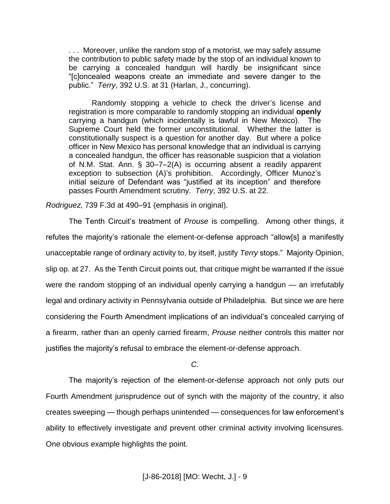. . . Moreover, unlike the random stop of a motorist, we may safely assume the contribution to public safety made by the stop of an individual known to be carrying a concealed handgun will hardly be insignificant since "[c]oncealed weapons create an immediate and severe danger to the public." *Terry*, 392 U.S. at 31 (Harlan, J., concurring).

Randomly stopping a vehicle to check the driver's license and registration is more comparable to randomly stopping an individual **openly** carrying a handgun (which incidentally is lawful in New Mexico). The Supreme Court held the former unconstitutional. Whether the latter is constitutionally suspect is a question for another day. But where a police officer in New Mexico has personal knowledge that an individual is carrying a concealed handgun, the officer has reasonable suspicion that a violation of N.M. Stat. Ann. § 30–7–2(A) is occurring absent a readily apparent exception to subsection (A)'s prohibition. Accordingly, Officer Munoz's initial seizure of Defendant was "justified at its inception" and therefore passes Fourth Amendment scrutiny. *Terry*, 392 U.S. at 22.

*Rodriguez*, 739 F.3d at 490–91 (emphasis in original).

The Tenth Circuit's treatment of *Prouse* is compelling. Among other things, it refutes the majority's rationale the element-or-defense approach "allow[s] a manifestly unacceptable range of ordinary activity to, by itself, justify *Terry* stops." Majority Opinion, slip op. at 27. As the Tenth Circuit points out, that critique might be warranted if the issue were the random stopping of an individual openly carrying a handgun — an irrefutably legal and ordinary activity in Pennsylvania outside of Philadelphia. But since we are here considering the Fourth Amendment implications of an individual's concealed carrying of a firearm, rather than an openly carried firearm, *Prouse* neither controls this matter nor justifies the majority's refusal to embrace the element-or-defense approach.

*C.*

The majority's rejection of the element-or-defense approach not only puts our Fourth Amendment jurisprudence out of synch with the majority of the country, it also creates sweeping — though perhaps unintended — consequences for law enforcement's ability to effectively investigate and prevent other criminal activity involving licensures. One obvious example highlights the point.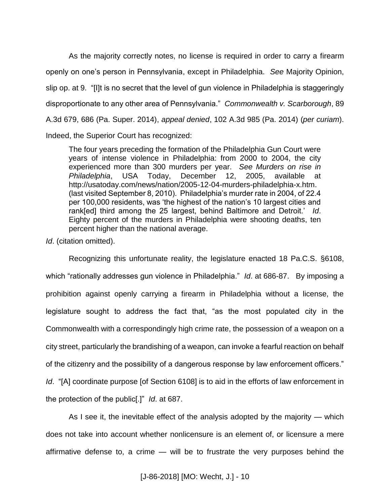As the majority correctly notes, no license is required in order to carry a firearm openly on one's person in Pennsylvania, except in Philadelphia. *See* Majority Opinion, slip op. at 9. "[I]t is no secret that the level of gun violence in Philadelphia is staggeringly disproportionate to any other area of Pennsylvania." *Commonwealth v. Scarborough*, 89 A.3d 679, 686 (Pa. Super. 2014), *appeal denied*, 102 A.3d 985 (Pa. 2014) (*per curiam*). Indeed, the Superior Court has recognized:

The four years preceding the formation of the Philadelphia Gun Court were years of intense violence in Philadelphia: from 2000 to 2004, the city experienced more than 300 murders per year. *See Murders on rise in Philadelphia*, USA Today, December 12, 2005, available at http://usatoday.com/news/nation/2005-12-04-murders-philadelphia-x.htm. (last visited September 8, 2010). Philadelphia's murder rate in 2004, of 22.4 per 100,000 residents, was 'the highest of the nation's 10 largest cities and rank[ed] third among the 25 largest, behind Baltimore and Detroit.' *Id*. Eighty percent of the murders in Philadelphia were shooting deaths, ten percent higher than the national average.

*Id*. (citation omitted).

Recognizing this unfortunate reality, the legislature enacted 18 Pa.C.S. §6108, which "rationally addresses gun violence in Philadelphia." *Id*. at 686-87. By imposing a prohibition against openly carrying a firearm in Philadelphia without a license, the legislature sought to address the fact that, "as the most populated city in the Commonwealth with a correspondingly high crime rate, the possession of a weapon on a city street, particularly the brandishing of a weapon, can invoke a fearful reaction on behalf of the citizenry and the possibility of a dangerous response by law enforcement officers." *Id.* "[A] coordinate purpose [of Section 6108] is to aid in the efforts of law enforcement in the protection of the public[.]" *Id*. at 687.

As I see it, the inevitable effect of the analysis adopted by the majority — which does not take into account whether nonlicensure is an element of, or licensure a mere affirmative defense to, a crime — will be to frustrate the very purposes behind the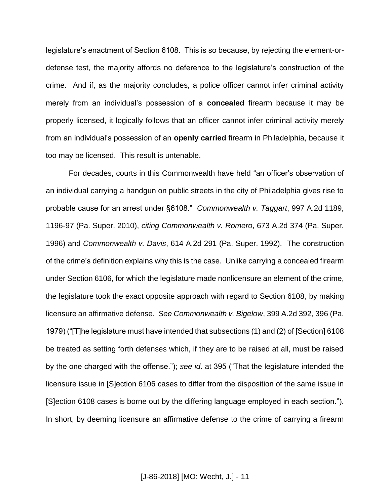legislature's enactment of Section 6108. This is so because, by rejecting the element-ordefense test, the majority affords no deference to the legislature's construction of the crime. And if, as the majority concludes, a police officer cannot infer criminal activity merely from an individual's possession of a **concealed** firearm because it may be properly licensed, it logically follows that an officer cannot infer criminal activity merely from an individual's possession of an **openly carried** firearm in Philadelphia, because it too may be licensed. This result is untenable.

For decades, courts in this Commonwealth have held "an officer's observation of an individual carrying a handgun on public streets in the city of Philadelphia gives rise to probable cause for an arrest under §6108." *Commonwealth v. Taggart*, 997 A.2d 1189, 1196-97 (Pa. Super. 2010), *citing Commonwealth v. Romero*, 673 A.2d 374 (Pa. Super. 1996) and *Commonwealth v. Davis*, 614 A.2d 291 (Pa. Super. 1992). The construction of the crime's definition explains why this is the case. Unlike carrying a concealed firearm under Section 6106, for which the legislature made nonlicensure an element of the crime, the legislature took the exact opposite approach with regard to Section 6108, by making licensure an affirmative defense. *See Commonwealth v. Bigelow*, 399 A.2d 392, 396 (Pa. 1979) ("[T]he legislature must have intended that subsections (1) and (2) of [Section] 6108 be treated as setting forth defenses which, if they are to be raised at all, must be raised by the one charged with the offense."); *see id*. at 395 ("That the legislature intended the licensure issue in [S]ection 6106 cases to differ from the disposition of the same issue in [S]ection 6108 cases is borne out by the differing language employed in each section."). In short, by deeming licensure an affirmative defense to the crime of carrying a firearm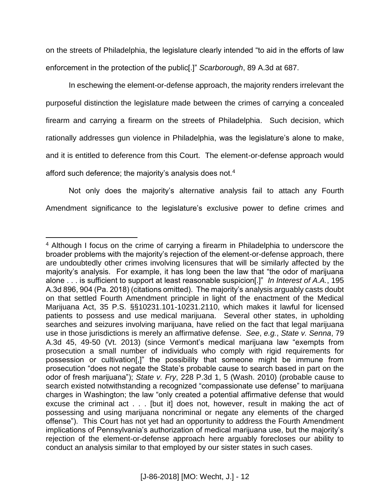on the streets of Philadelphia, the legislature clearly intended "to aid in the efforts of law enforcement in the protection of the public[.]" *Scarborough*, 89 A.3d at 687.

In eschewing the element-or-defense approach, the majority renders irrelevant the purposeful distinction the legislature made between the crimes of carrying a concealed firearm and carrying a firearm on the streets of Philadelphia. Such decision, which rationally addresses gun violence in Philadelphia, was the legislature's alone to make, and it is entitled to deference from this Court. The element-or-defense approach would afford such deference; the majority's analysis does not.<sup>4</sup>

Not only does the majority's alternative analysis fail to attach any Fourth Amendment significance to the legislature's exclusive power to define crimes and

 $\overline{a}$ 

<sup>&</sup>lt;sup>4</sup> Although I focus on the crime of carrying a firearm in Philadelphia to underscore the broader problems with the majority's rejection of the element-or-defense approach, there are undoubtedly other crimes involving licensures that will be similarly affected by the majority's analysis. For example, it has long been the law that "the odor of marijuana alone . . . is sufficient to support at least reasonable suspicion[.]" *In Interest of A.A.*, 195 A.3d 896, 904 (Pa. 2018) (citations omitted). The majority's analysis arguably casts doubt on that settled Fourth Amendment principle in light of the enactment of the Medical Marijuana Act, 35 P.S. §§10231.101-10231.2110, which makes it lawful for licensed patients to possess and use medical marijuana. Several other states, in upholding searches and seizures involving marijuana, have relied on the fact that legal marijuana use in those jurisdictions is merely an affirmative defense. *See*, *e.g.*, *State v. Senna*, 79 A.3d 45, 49-50 (Vt. 2013) (since Vermont's medical marijuana law "exempts from prosecution a small number of individuals who comply with rigid requirements for possession or cultivation[,]" the possibility that someone might be immune from prosecution "does not negate the State's probable cause to search based in part on the odor of fresh marijuana"); *State v. Fry*, 228 P.3d 1, 5 (Wash. 2010) (probable cause to search existed notwithstanding a recognized "compassionate use defense" to marijuana charges in Washington; the law "only created a potential affirmative defense that would excuse the criminal act . . . [but it] does not, however, result in making the act of possessing and using marijuana noncriminal or negate any elements of the charged offense"). This Court has not yet had an opportunity to address the Fourth Amendment implications of Pennsylvania's authorization of medical marijuana use, but the majority's rejection of the element-or-defense approach here arguably forecloses our ability to conduct an analysis similar to that employed by our sister states in such cases.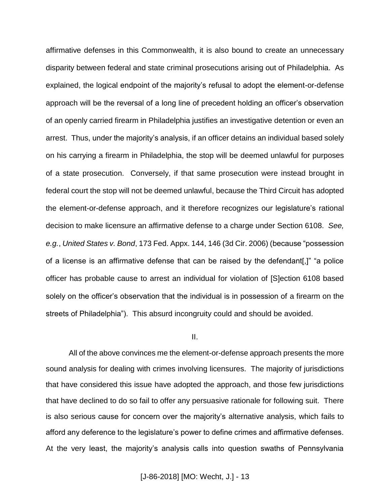affirmative defenses in this Commonwealth, it is also bound to create an unnecessary disparity between federal and state criminal prosecutions arising out of Philadelphia. As explained, the logical endpoint of the majority's refusal to adopt the element-or-defense approach will be the reversal of a long line of precedent holding an officer's observation of an openly carried firearm in Philadelphia justifies an investigative detention or even an arrest. Thus, under the majority's analysis, if an officer detains an individual based solely on his carrying a firearm in Philadelphia, the stop will be deemed unlawful for purposes of a state prosecution. Conversely, if that same prosecution were instead brought in federal court the stop will not be deemed unlawful, because the Third Circuit has adopted the element-or-defense approach, and it therefore recognizes our legislature's rational decision to make licensure an affirmative defense to a charge under Section 6108. *See, e.g.*, *United States v. Bond*, 173 Fed. Appx. 144, 146 (3d Cir. 2006) (because "possession of a license is an affirmative defense that can be raised by the defendant[,]" "a police officer has probable cause to arrest an individual for violation of [S]ection 6108 based solely on the officer's observation that the individual is in possession of a firearm on the streets of Philadelphia"). This absurd incongruity could and should be avoided.

#### II.

All of the above convinces me the element-or-defense approach presents the more sound analysis for dealing with crimes involving licensures. The majority of jurisdictions that have considered this issue have adopted the approach, and those few jurisdictions that have declined to do so fail to offer any persuasive rationale for following suit. There is also serious cause for concern over the majority's alternative analysis, which fails to afford any deference to the legislature's power to define crimes and affirmative defenses. At the very least, the majority's analysis calls into question swaths of Pennsylvania

### [J-86-2018] [MO: Wecht, J.] - 13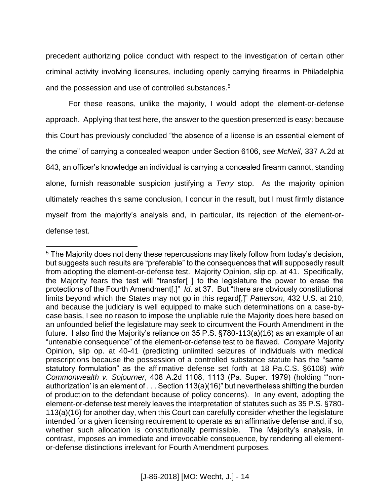precedent authorizing police conduct with respect to the investigation of certain other criminal activity involving licensures, including openly carrying firearms in Philadelphia and the possession and use of controlled substances.<sup>5</sup>

For these reasons, unlike the majority, I would adopt the element-or-defense approach. Applying that test here, the answer to the question presented is easy: because this Court has previously concluded "the absence of a license is an essential element of the crime" of carrying a concealed weapon under Section 6106, *see McNeil*, 337 A.2d at 843, an officer's knowledge an individual is carrying a concealed firearm cannot, standing alone, furnish reasonable suspicion justifying a *Terry* stop. As the majority opinion ultimately reaches this same conclusion, I concur in the result, but I must firmly distance myself from the majority's analysis and, in particular, its rejection of the element-ordefense test.

 $\overline{a}$ <sup>5</sup> The Majority does not deny these repercussions may likely follow from today's decision, but suggests such results are "preferable" to the consequences that will supposedly result from adopting the element-or-defense test. Majority Opinion, slip op. at 41. Specifically, the Majority fears the test will "transfer[ ] to the legislature the power to erase the protections of the Fourth Amendment[.]" *Id*. at 37. But "there are obviously constitutional limits beyond which the States may not go in this regard[,]" *Patterson*, 432 U.S. at 210, and because the judiciary is well equipped to make such determinations on a case-bycase basis, I see no reason to impose the unpliable rule the Majority does here based on an unfounded belief the legislature may seek to circumvent the Fourth Amendment in the future. I also find the Majority's reliance on 35 P.S. §780-113(a)(16) as an example of an "untenable consequence" of the element-or-defense test to be flawed. *Compare* Majority Opinion, slip op. at 40-41 (predicting unlimited seizures of individuals with medical prescriptions because the possession of a controlled substance statute has the "same statutory formulation" as the affirmative defense set forth at 18 Pa.C.S. §6108) *with Commonwealth v. Sojourner*, 408 A.2d 1108, 1113 (Pa. Super. 1979) (holding "'nonauthorization' is an element of . . . Section 113(a)(16)" but nevertheless shifting the burden of production to the defendant because of policy concerns). In any event, adopting the element-or-defense test merely leaves the interpretation of statutes such as 35 P.S. §780- 113(a)(16) for another day, when this Court can carefully consider whether the legislature intended for a given licensing requirement to operate as an affirmative defense and, if so, whether such allocation is constitutionally permissible. The Majority's analysis, in contrast, imposes an immediate and irrevocable consequence, by rendering all elementor-defense distinctions irrelevant for Fourth Amendment purposes.